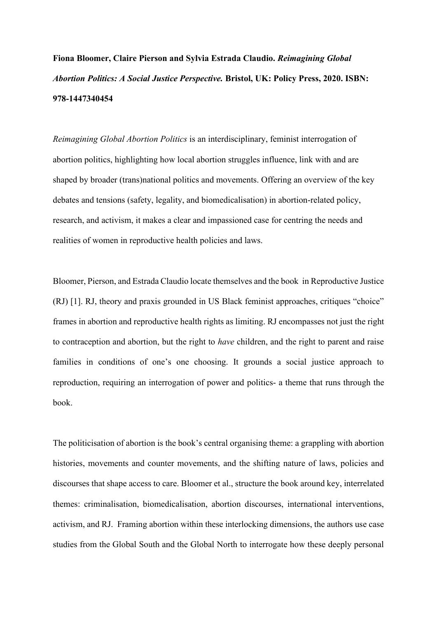**Fiona Bloomer, Claire Pierson and Sylvia Estrada Claudio.** *Reimagining Global Abortion Politics: A Social Justice Perspective.* **Bristol, UK: Policy Press, 2020. ISBN: 978-1447340454**

*Reimagining Global Abortion Politics* is an interdisciplinary, feminist interrogation of abortion politics, highlighting how local abortion struggles influence, link with and are shaped by broader (trans)national politics and movements. Offering an overview of the key debates and tensions (safety, legality, and biomedicalisation) in abortion-related policy, research, and activism, it makes a clear and impassioned case for centring the needs and realities of women in reproductive health policies and laws.

Bloomer, Pierson, and Estrada Claudio locate themselves and the book in Reproductive Justice (RJ) [1]. RJ, theory and praxis grounded in US Black feminist approaches, critiques "choice" frames in abortion and reproductive health rights as limiting. RJ encompasses not just the right to contraception and abortion, but the right to *have* children, and the right to parent and raise families in conditions of one's one choosing. It grounds a social justice approach to reproduction, requiring an interrogation of power and politics- a theme that runs through the book.

The politicisation of abortion is the book's central organising theme: a grappling with abortion histories, movements and counter movements, and the shifting nature of laws, policies and discourses that shape access to care. Bloomer et al., structure the book around key, interrelated themes: criminalisation, biomedicalisation, abortion discourses, international interventions, activism, and RJ. Framing abortion within these interlocking dimensions, the authors use case studies from the Global South and the Global North to interrogate how these deeply personal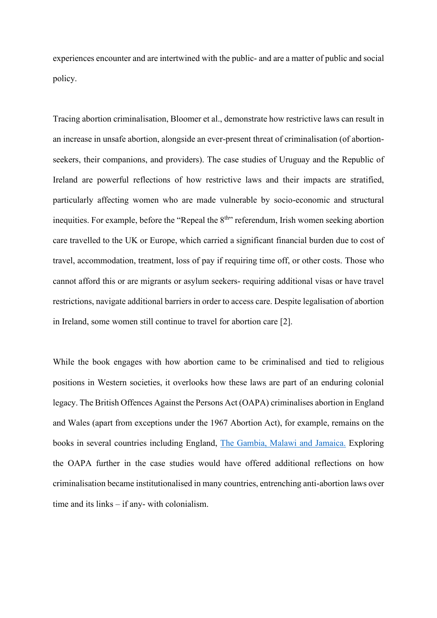experiences encounter and are intertwined with the public- and are a matter of public and social policy.

Tracing abortion criminalisation, Bloomer et al., demonstrate how restrictive laws can result in an increase in unsafe abortion, alongside an ever-present threat of criminalisation (of abortionseekers, their companions, and providers). The case studies of Uruguay and the Republic of Ireland are powerful reflections of how restrictive laws and their impacts are stratified, particularly affecting women who are made vulnerable by socio-economic and structural inequities. For example, before the "Repeal the  $8<sup>th</sup>$ " referendum, Irish women seeking abortion care travelled to the UK or Europe, which carried a significant financial burden due to cost of travel, accommodation, treatment, loss of pay if requiring time off, or other costs. Those who cannot afford this or are migrants or asylum seekers- requiring additional visas or have travel restrictions, navigate additional barriers in order to access care. Despite legalisation of abortion in Ireland, some women still continue to travel for abortion care [2].

While the book engages with how abortion came to be criminalised and tied to religious positions in Western societies, it overlooks how these laws are part of an enduring colonial legacy. The British Offences Against the Persons Act (OAPA) criminalises abortion in England and Wales (apart from exceptions under the 1967 Abortion Act), for example, remains on the books in several countries including England, [The Gambia, Malawi and Jamaica.](https://abortion-policies.srhr.org/) Exploring the OAPA further in the case studies would have offered additional reflections on how criminalisation became institutionalised in many countries, entrenching anti-abortion laws over time and its links – if any- with colonialism.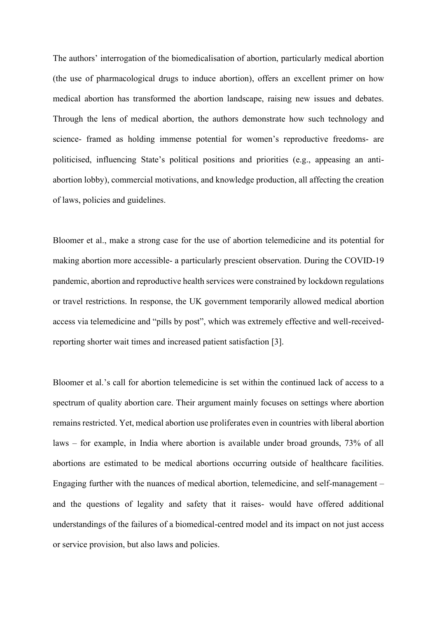The authors' interrogation of the biomedicalisation of abortion, particularly medical abortion (the use of pharmacological drugs to induce abortion), offers an excellent primer on how medical abortion has transformed the abortion landscape, raising new issues and debates. Through the lens of medical abortion, the authors demonstrate how such technology and science- framed as holding immense potential for women's reproductive freedoms- are politicised, influencing State's political positions and priorities (e.g., appeasing an antiabortion lobby), commercial motivations, and knowledge production, all affecting the creation of laws, policies and guidelines.

Bloomer et al., make a strong case for the use of abortion telemedicine and its potential for making abortion more accessible- a particularly prescient observation. During the COVID-19 pandemic, abortion and reproductive health services were constrained by lockdown regulations or travel restrictions. In response, the UK government temporarily allowed medical abortion access via telemedicine and "pills by post", which was extremely effective and well-receivedreporting shorter wait times and increased patient satisfaction [3].

Bloomer et al.'s call for abortion telemedicine is set within the continued lack of access to a spectrum of quality abortion care. Their argument mainly focuses on settings where abortion remains restricted. Yet, medical abortion use proliferates even in countries with liberal abortion laws – for example, in India where abortion is available under broad grounds, 73% of all abortions are estimated to be medical abortions occurring outside of healthcare facilities. Engaging further with the nuances of medical abortion, telemedicine, and self-management – and the questions of legality and safety that it raises- would have offered additional understandings of the failures of a biomedical-centred model and its impact on not just access or service provision, but also laws and policies.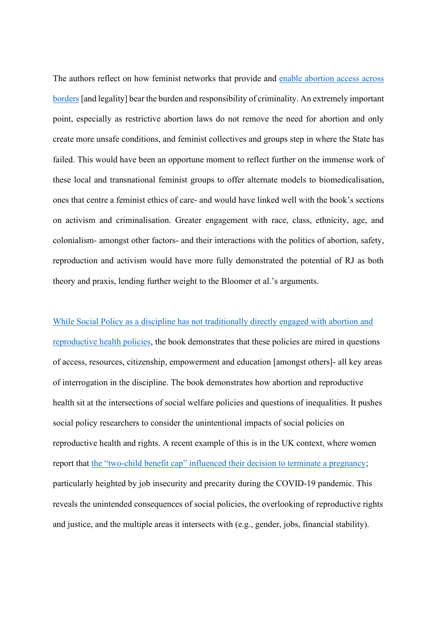The authors reflect on how feminist networks that provide and enable [abortion](https://abortion.eu/) access across [borders](https://abortion.eu/) [and legality] bear the burden and responsibility of criminality. An extremely important point, especially as restrictive abortion laws do not remove the need for abortion and only create more unsafe conditions, and feminist collectives and groups step in where the State has failed. This would have been an opportune moment to reflect further on the immense work of these local and transnational feminist groups to offer alternate models to biomedicalisation, ones that centre a feminist ethics of care- and would have linked well with the book's sections on activism and criminalisation. Greater engagement with race, class, ethnicity, age, and colonialism- amongst other factors- and their interactions with the politics of abortion, safety, reproduction and activism would have more fully demonstrated the potential of RJ as both theory and praxis, lending further weight to the Bloomer et al.'s arguments.

While Social Policy as a discipline has not [traditionally directly engaged with abortion and](https://blogs.lse.ac.uk/socialpolicy/2019/08/30/reproductive-health-and-rights-whats-social-policy-got-to-do-with-it)  [reproductive health policies,](https://blogs.lse.ac.uk/socialpolicy/2019/08/30/reproductive-health-and-rights-whats-social-policy-got-to-do-with-it) the book demonstrates that these policies are mired in questions of access, resources, citizenship, empowerment and education [amongst others]- all key areas of interrogation in the discipline. The book demonstrates how abortion and reproductive health sit at the intersections of social welfare policies and questions of inequalities. It pushes social policy researchers to consider the unintentional impacts of social policies on reproductive health and rights. A recent example of this is in the UK context, where women report that the "two-[child benefit cap" influenced their decision to terminate a pregnancy](https://www.theguardian.com/society/2020/dec/03/two-child-limit-on-benefits-a-key-factor-in-many-abortion-decisions-says-charity); particularly heighted by job insecurity and precarity during the COVID-19 pandemic. This reveals the unintended consequences of social policies, the overlooking of reproductive rights and justice, and the multiple areas it intersects with (e.g., gender, jobs, financial stability).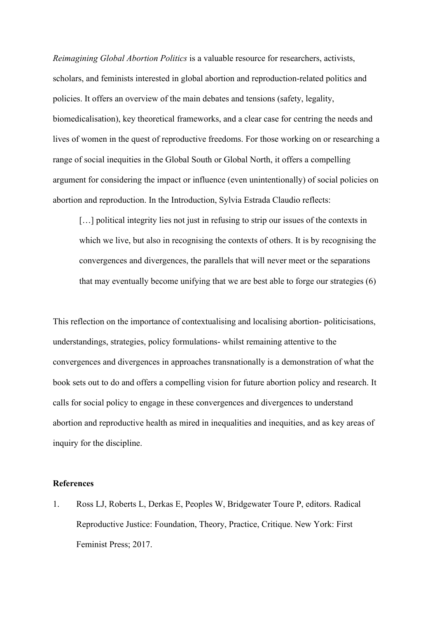*Reimagining Global Abortion Politics* is a valuable resource for researchers, activists, scholars, and feminists interested in global abortion and reproduction-related politics and policies. It offers an overview of the main debates and tensions (safety, legality, biomedicalisation), key theoretical frameworks, and a clear case for centring the needs and lives of women in the quest of reproductive freedoms. For those working on or researching a range of social inequities in the Global South or Global North, it offers a compelling argument for considering the impact or influence (even unintentionally) of social policies on abortion and reproduction. In the Introduction, Sylvia Estrada Claudio reflects:

[...] political integrity lies not just in refusing to strip our issues of the contexts in which we live, but also in recognising the contexts of others. It is by recognising the convergences and divergences, the parallels that will never meet or the separations that may eventually become unifying that we are best able to forge our strategies (6)

This reflection on the importance of contextualising and localising abortion- politicisations, understandings, strategies, policy formulations- whilst remaining attentive to the convergences and divergences in approaches transnationally is a demonstration of what the book sets out to do and offers a compelling vision for future abortion policy and research. It calls for social policy to engage in these convergences and divergences to understand abortion and reproductive health as mired in inequalities and inequities, and as key areas of inquiry for the discipline.

## **References**

1. Ross LJ, Roberts L, Derkas E, Peoples W, Bridgewater Toure P, editors. Radical Reproductive Justice: Foundation, Theory, Practice, Critique. New York: First Feminist Press; 2017.